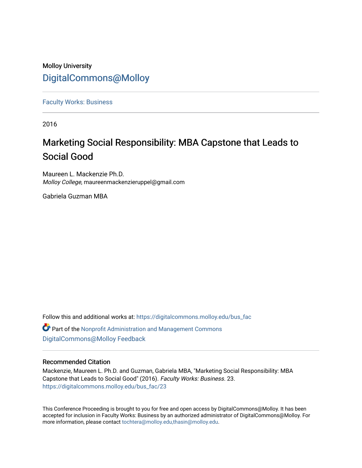# Molloy University [DigitalCommons@Molloy](https://digitalcommons.molloy.edu/)

[Faculty Works: Business](https://digitalcommons.molloy.edu/bus_fac) 

2016

# Marketing Social Responsibility: MBA Capstone that Leads to Social Good

Maureen L. Mackenzie Ph.D. Molloy College, maureenmackenzieruppel@gmail.com

Gabriela Guzman MBA

Follow this and additional works at: [https://digitalcommons.molloy.edu/bus\\_fac](https://digitalcommons.molloy.edu/bus_fac?utm_source=digitalcommons.molloy.edu%2Fbus_fac%2F23&utm_medium=PDF&utm_campaign=PDFCoverPages)

Part of the [Nonprofit Administration and Management Commons](https://network.bepress.com/hgg/discipline/1228?utm_source=digitalcommons.molloy.edu%2Fbus_fac%2F23&utm_medium=PDF&utm_campaign=PDFCoverPages)  [DigitalCommons@Molloy Feedback](https://molloy.libwizard.com/f/dcfeedback)

## Recommended Citation

Mackenzie, Maureen L. Ph.D. and Guzman, Gabriela MBA, "Marketing Social Responsibility: MBA Capstone that Leads to Social Good" (2016). Faculty Works: Business. 23. [https://digitalcommons.molloy.edu/bus\\_fac/23](https://digitalcommons.molloy.edu/bus_fac/23?utm_source=digitalcommons.molloy.edu%2Fbus_fac%2F23&utm_medium=PDF&utm_campaign=PDFCoverPages) 

This Conference Proceeding is brought to you for free and open access by DigitalCommons@Molloy. It has been accepted for inclusion in Faculty Works: Business by an authorized administrator of DigitalCommons@Molloy. For more information, please contact [tochtera@molloy.edu,thasin@molloy.edu.](mailto:tochtera@molloy.edu,thasin@molloy.edu)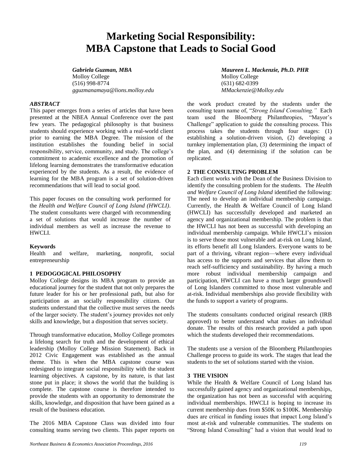# **Marketing Social Responsibility: MBA Capstone that Leads to Social Good**

Molloy College Molloy College (516) 998-8774 (631) 682-0399 *gguzmanamaya@lions.molloy.edu MMackenzie@Molloy.edu*

### *ABSTRACT*

This paper emerges from a series of articles that have been presented at the NBEA Annual Conference over the past few years. The pedagogical philosophy is that business students should experience working with a real-world client prior to earning the MBA Degree. The mission of the institution establishes the founding belief in social responsibility, service, community, and study. The college's commitment to academic excellence and the promotion of lifelong learning demonstrates the transformative education experienced by the students. As a result, the evidence of learning for the MBA program is a set of solution-driven recommendations that will lead to social good.

This paper focuses on the consulting work performed for the *Health and Welfare Council of Long Island (HWCLI)*. The student consultants were charged with recommending a set of solutions that would increase the number of individual members as well as increase the revenue to HWCLI.

### **Keywords**

Health and welfare, marketing, nonprofit, social entrepreneurship

### **1 PEDOGOGICAL PHILOSOPHY**

Molloy College designs its MBA program to provide an educational journey for the student that not only prepares the future leader for his or her professional path, but also for participation as an socially responsibility citizen. Our students understand that the collective must serves the needs of the larger society. The student's journey provides not only skills and knowledge, but a disposition that serves society.

Through transformative education, Molloy College promotes a lifelong search for truth and the development of ethical leadership (Molloy College Mission Statement). Back in 2012 Civic Engagement was established as the annual theme. This is when the MBA capstone course was redesigned to integrate social responsibility with the student learning objectives. A capstone, by its nature, is that last stone put in place; it shows the world that the building is complete. The capstone course is therefore intended to provide the students with an opportunity to demonstrate the skills, knowledge, and disposition that have been gained as a result of the business education.

The 2016 MBA Capstone Class was divided into four consulting teams serving two clients. This paper reports on

the work product created by the students under the consulting team name of, "*Strong Island Consulting."* Each team used the Bloomberg Philanthropies, "Mayor's Challenge" application to guide the consulting process. This process takes the students through four stages: (1) establishing a solution-driven vision, (2) developing a turnkey implementation plan, (3) determining the impact of the plan, and (4) determining if the solution can be replicated.

### **2 THE CONSULTING PROBLEM**

Each client works with the Dean of the Business Division to identify the consulting problem for the students. The *Health and Welfare Council of Long Island* identified the following: The need to develop an individual membership campaign. Currently, the Health & Welfare Council of Long Island (HWCLI) has successfully developed and marketed an agency and organizational membership. The problem is that the HWCLI has not been as successful with developing an individual membership campaign. While HWCLI's mission is to serve those most vulnerable and at-risk on Long Island, its efforts benefit all Long Islanders. Everyone wants to be part of a thriving, vibrant region—where every individual has access to the supports and services that allow them to reach self-sufficiency and sustainability. By having a much more robust individual membership campaign and participation, HWCLI can have a much larger groundswell of Long Islanders committed to those most vulnerable and at-risk. Individual memberships also provide flexibility with the funds to support a variety of programs.

The students consultants conducted original research (IRB approved) to better understand what makes an individual donate. The results of this research provided a path upon which the students developed their recommendations.

The students use a version of the Bloomberg Philanthropies Challenge process to guide its work. The stages that lead the students to the set of solutions started with the vision.

#### **3 THE VISION**

While the Health & Welfare Council of Long Island has successfully gained agency and organizational memberships, the organization has not been as successful with acquiring individual memberships. HWCLI is hoping to increase its current membership dues from \$50K to \$100K. Membership dues are critical in funding issues that impact Long Island's most at-risk and vulnerable communities. The students on "Strong Island Consulting" had a vision that would lead to